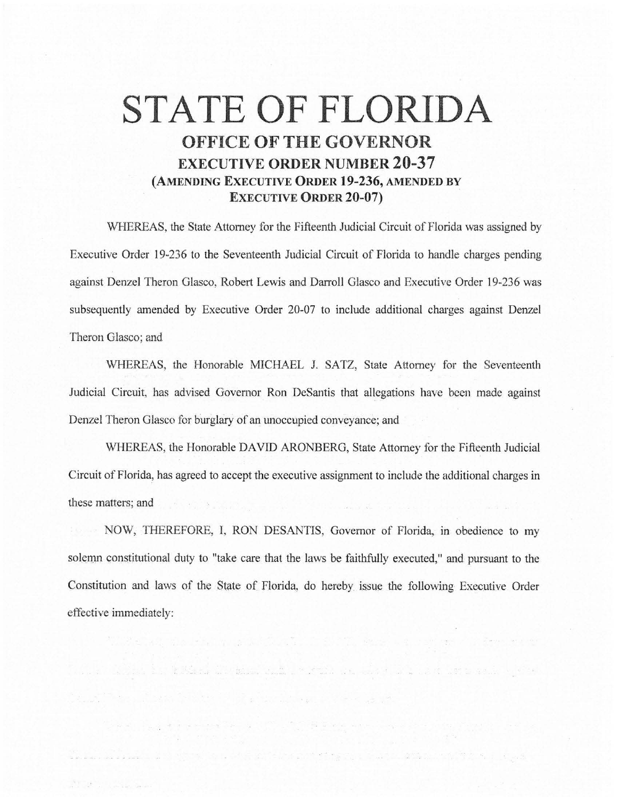## **STATE OF FLORIDA OFFICE OF THE GOVERNOR EXECUTIVE ORDER NUMBER 20-37 (AMENDING EXECUTIVE ORDER 19-236, AMENDED BY EXECUTIVE ORDER 20-07)**

WHEREAS, the State Attorney for the Fifteenth Judicial Circuit of Florida was assigned by Executive Order 19-236 to the Seventeenth Judicial Circuit of Florida to handle charges pending against Denzel Theron Glasco, Robert Lewis and Darroll Glasco and Executive Order 19-236 was subsequently amended by Executive Order 20-07 to include additional charges against Denzel Theron Glasco; and

WHEREAS, the Honorable MICHAEL J. SATZ, State Attorney for the Seventeenth Judicial Circuit, has advised Governor Ron DcSantis that allegations have been made against Denzel Theron Glasco for burglary of an unoccupied conveyance; and

WHEREAS, the Honorable DAVID ARONBERG, State Attorney for the Fifteenth Judicial Circuit of Florida, has agreed to accept the executive assignment to include the additional charges in these matters; and

NOW, THEREFORE, I, RON DESANTIS, Governor of Florida, in obedience to my solemn constitutional duty to "take care that the laws be faithfully executed," and pursuant to the Constitution and laws of the State of Florida, do hereby\_ issue the following Executive Order effective immediately:

and a more to the discussion of the company of the company of the company of the company of the

as a construction of the construction of the construction of the construction of the construction of the construction of the construction of the construction of the construction of the construction of the construction of t

**Service Communication**